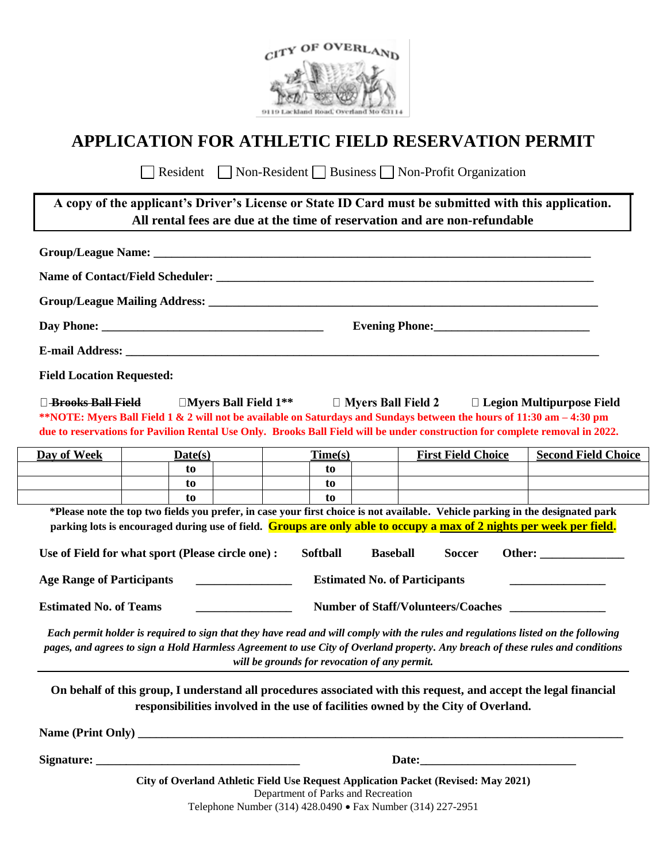

# **APPLICATION FOR ATHLETIC FIELD RESERVATION PERMIT**

Resident Non-Resident Business Non-Profit Organization

| A copy of the applicant's Driver's License or State ID Card must be submitted with this application.<br>All rental fees are due at the time of reservation and are non-refundable |  |  |  |  |
|-----------------------------------------------------------------------------------------------------------------------------------------------------------------------------------|--|--|--|--|
|                                                                                                                                                                                   |  |  |  |  |
| Name of Contact/Field Scheduler:                                                                                                                                                  |  |  |  |  |
| Group/League Mailing Address:                                                                                                                                                     |  |  |  |  |

**Day Phone: \_\_\_\_\_\_\_\_\_\_\_\_\_\_\_\_\_\_\_\_\_\_\_\_\_\_\_\_\_\_\_\_\_\_\_\_\_ Evening Phone:\_\_\_\_\_\_\_\_\_\_\_\_\_\_\_\_\_\_\_\_\_\_\_\_\_\_**

**E-mail Address:**  $\blacksquare$ 

**Field Location Requested:**

□ <del>Brooks Ball Field</del> Books Ball Field 1\*\* Legion Multipurpose Field **\*\*NOTE: Myers Ball Field 1 & 2 will not be available on Saturdays and Sundays between the hours of 11:30 am – 4:30 pm due to reservations for Pavilion Rental Use Only. Brooks Ball Field will be under construction for complete removal in 2022.** 

| Day of Week | Date(s) | Time(s) | <b>First Field Choice</b> | <b>Second Field Choice</b> |
|-------------|---------|---------|---------------------------|----------------------------|
|             | t0      | to      |                           |                            |
|             | t0      | to      |                           |                            |
|             | to      | to      |                           |                            |

**\*Please note the top two fields you prefer, in case your first choice is not available. Vehicle parking in the designated park parking lots is encouraged during use of field. Groups are only able to occupy a max of 2 nights per week per field.**

| Use of Field for what sport (Please circle one) : | Softball | <b>Baseball</b>                           | Soccer | Other: ) |  |
|---------------------------------------------------|----------|-------------------------------------------|--------|----------|--|
| Age Range of Participants                         |          | <b>Estimated No. of Participants</b>      |        |          |  |
| <b>Estimated No. of Teams</b>                     |          | <b>Number of Staff/Volunteers/Coaches</b> |        |          |  |

*Each permit holder is required to sign that they have read and will comply with the rules and regulations listed on the following pages, and agrees to sign a Hold Harmless Agreement to use City of Overland property. Any breach of these rules and conditions will be grounds for revocation of any permit.*

**On behalf of this group, I understand all procedures associated with this request, and accept the legal financial responsibilities involved in the use of facilities owned by the City of Overland.**

**Name (Print Only) \_\_\_\_\_\_\_\_\_\_\_\_\_\_\_\_\_\_\_\_\_\_\_\_\_\_\_\_\_\_\_\_\_\_\_\_\_\_\_\_\_\_\_\_\_\_\_\_\_\_\_\_\_\_\_\_\_\_\_\_\_\_\_\_\_\_\_\_\_\_\_\_\_\_\_\_\_\_\_\_\_**

**Signature: \_\_\_\_\_\_\_\_\_\_\_\_\_\_\_\_\_\_\_\_\_\_\_\_\_\_\_\_\_\_\_\_\_\_ Date:\_\_\_\_\_\_\_\_\_\_\_\_\_\_\_\_\_\_\_\_\_\_\_\_\_\_**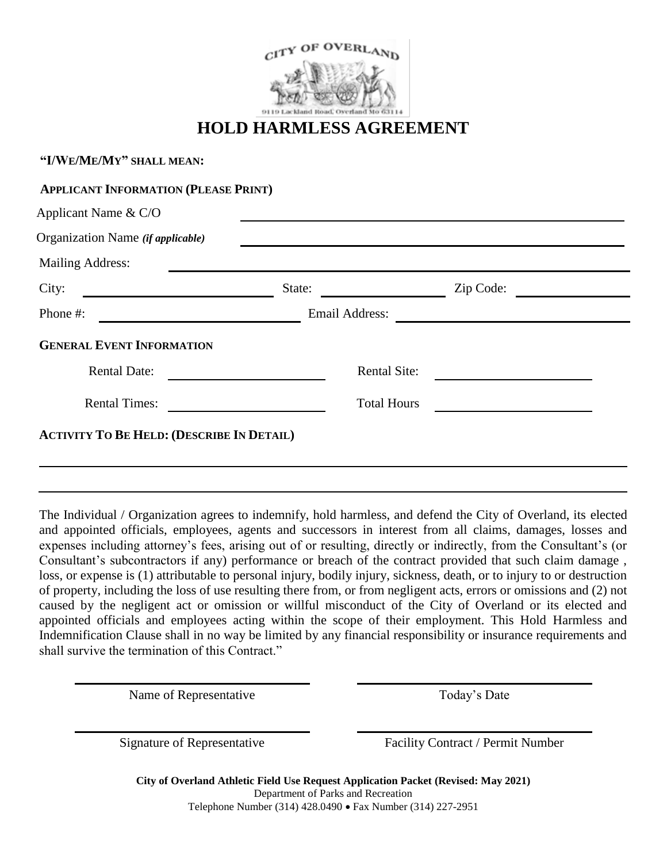

# **HOLD HARMLESS AGREEMENT**

| Applicant Name & C/O              |                    |                     |
|-----------------------------------|--------------------|---------------------|
| Organization Name (if applicable) |                    |                     |
| <b>Mailing Address:</b>           |                    |                     |
| City:                             | State:             | Zip Code:           |
| Phone #:                          | Email Address:     |                     |
| <b>GENERAL EVENT INFORMATION</b>  |                    |                     |
| <b>Rental Date:</b>               |                    | <b>Rental Site:</b> |
| <b>Rental Times:</b>              | <b>Total Hours</b> |                     |
|                                   |                    |                     |

The Individual / Organization agrees to indemnify, hold harmless, and defend the City of Overland, its elected and appointed officials, employees, agents and successors in interest from all claims, damages, losses and expenses including attorney's fees, arising out of or resulting, directly or indirectly, from the Consultant's (or Consultant's subcontractors if any) performance or breach of the contract provided that such claim damage , loss, or expense is (1) attributable to personal injury, bodily injury, sickness, death, or to injury to or destruction of property, including the loss of use resulting there from, or from negligent acts, errors or omissions and (2) not caused by the negligent act or omission or willful misconduct of the City of Overland or its elected and appointed officials and employees acting within the scope of their employment. This Hold Harmless and Indemnification Clause shall in no way be limited by any financial responsibility or insurance requirements and shall survive the termination of this Contract."

Name of Representative Today's Date

**"I/WE/ME/MY" SHALL MEAN:**

Signature of Representative Facility Contract / Permit Number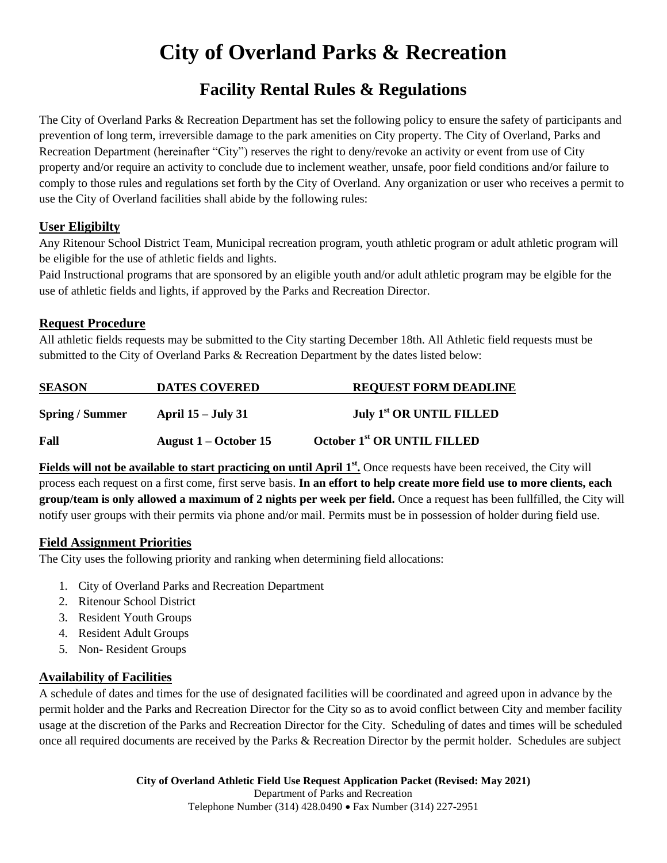# **City of Overland Parks & Recreation**

# **Facility Rental Rules & Regulations**

The City of Overland Parks & Recreation Department has set the following policy to ensure the safety of participants and prevention of long term, irreversible damage to the park amenities on City property. The City of Overland, Parks and Recreation Department (hereinafter "City") reserves the right to deny/revoke an activity or event from use of City property and/or require an activity to conclude due to inclement weather, unsafe, poor field conditions and/or failure to comply to those rules and regulations set forth by the City of Overland. Any organization or user who receives a permit to use the City of Overland facilities shall abide by the following rules:

#### **User Eligibilty**

Any Ritenour School District Team, Municipal recreation program, youth athletic program or adult athletic program will be eligible for the use of athletic fields and lights.

Paid Instructional programs that are sponsored by an eligible youth and/or adult athletic program may be elgible for the use of athletic fields and lights, if approved by the Parks and Recreation Director.

## **Request Procedure**

All athletic fields requests may be submitted to the City starting December 18th. All Athletic field requests must be submitted to the City of Overland Parks & Recreation Department by the dates listed below:

| <b>SEASON</b>        | <b>DATES COVERED</b>      | <b>REQUEST FORM DEADLINE</b>            |
|----------------------|---------------------------|-----------------------------------------|
| <b>Spring/Summer</b> | <b>April 15 – July 31</b> | <b>July 1st OR UNTIL FILLED</b>         |
| Fall                 | August $1 -$ October 15   | October 1 <sup>st</sup> OR UNTIL FILLED |

Fields will not be available to start practicing on until April 1<sup>st</sup>. Once requests have been received, the City will process each request on a first come, first serve basis. **In an effort to help create more field use to more clients, each group/team is only allowed a maximum of 2 nights per week per field.** Once a request has been fullfilled, the City will notify user groups with their permits via phone and/or mail. Permits must be in possession of holder during field use.

#### **Field Assignment Priorities**

The City uses the following priority and ranking when determining field allocations:

- 1. City of Overland Parks and Recreation Department
- 2. Ritenour School District
- 3. Resident Youth Groups
- 4. Resident Adult Groups
- 5. Non- Resident Groups

#### **Availability of Facilities**

A schedule of dates and times for the use of designated facilities will be coordinated and agreed upon in advance by the permit holder and the Parks and Recreation Director for the City so as to avoid conflict between City and member facility usage at the discretion of the Parks and Recreation Director for the City. Scheduling of dates and times will be scheduled once all required documents are received by the Parks & Recreation Director by the permit holder. Schedules are subject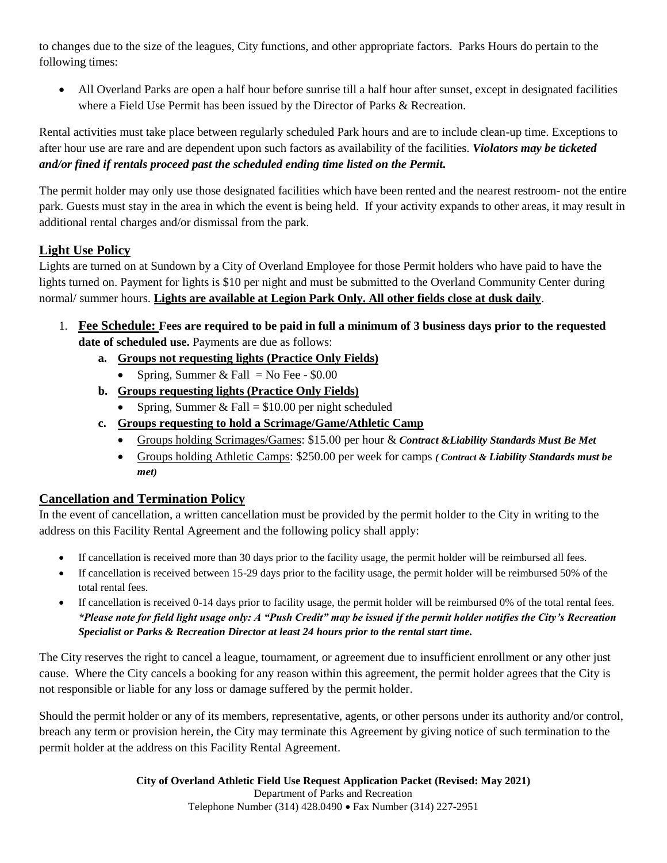to changes due to the size of the leagues, City functions, and other appropriate factors. Parks Hours do pertain to the following times:

 All Overland Parks are open a half hour before sunrise till a half hour after sunset, except in designated facilities where a Field Use Permit has been issued by the Director of Parks & Recreation.

Rental activities must take place between regularly scheduled Park hours and are to include clean-up time. Exceptions to after hour use are rare and are dependent upon such factors as availability of the facilities. *Violators may be ticketed and/or fined if rentals proceed past the scheduled ending time listed on the Permit.* 

The permit holder may only use those designated facilities which have been rented and the nearest restroom- not the entire park. Guests must stay in the area in which the event is being held. If your activity expands to other areas, it may result in additional rental charges and/or dismissal from the park.

## **Light Use Policy**

Lights are turned on at Sundown by a City of Overland Employee for those Permit holders who have paid to have the lights turned on. Payment for lights is \$10 per night and must be submitted to the Overland Community Center during normal/ summer hours. **Lights are available at Legion Park Only. All other fields close at dusk daily**.

- 1. **Fee Schedule: Fees are required to be paid in full a minimum of 3 business days prior to the requested date of scheduled use.** Payments are due as follows:
	- **a. Groups not requesting lights (Practice Only Fields)**
		- Spring, Summer & Fall = No Fee  $$0.00$
	- **b. Groups requesting lights (Practice Only Fields)**
		- Spring, Summer & Fall =  $$10.00$  per night scheduled
	- **c. Groups requesting to hold a Scrimage/Game/Athletic Camp**
		- Groups holding Scrimages/Games: \$15.00 per hour & *Contract &Liability Standards Must Be Met*
		- Groups holding Athletic Camps: \$250.00 per week for camps *( Contract & Liability Standards must be met)*

#### **Cancellation and Termination Policy**

In the event of cancellation, a written cancellation must be provided by the permit holder to the City in writing to the address on this Facility Rental Agreement and the following policy shall apply:

- If cancellation is received more than 30 days prior to the facility usage, the permit holder will be reimbursed all fees.
- If cancellation is received between 15-29 days prior to the facility usage, the permit holder will be reimbursed 50% of the total rental fees.
- If cancellation is received 0-14 days prior to facility usage, the permit holder will be reimbursed 0% of the total rental fees. *\*Please note for field light usage only: A "Push Credit" may be issued if the permit holder notifies the City's Recreation Specialist or Parks & Recreation Director at least 24 hours prior to the rental start time.*

The City reserves the right to cancel a league, tournament, or agreement due to insufficient enrollment or any other just cause. Where the City cancels a booking for any reason within this agreement, the permit holder agrees that the City is not responsible or liable for any loss or damage suffered by the permit holder.

Should the permit holder or any of its members, representative, agents, or other persons under its authority and/or control, breach any term or provision herein, the City may terminate this Agreement by giving notice of such termination to the permit holder at the address on this Facility Rental Agreement.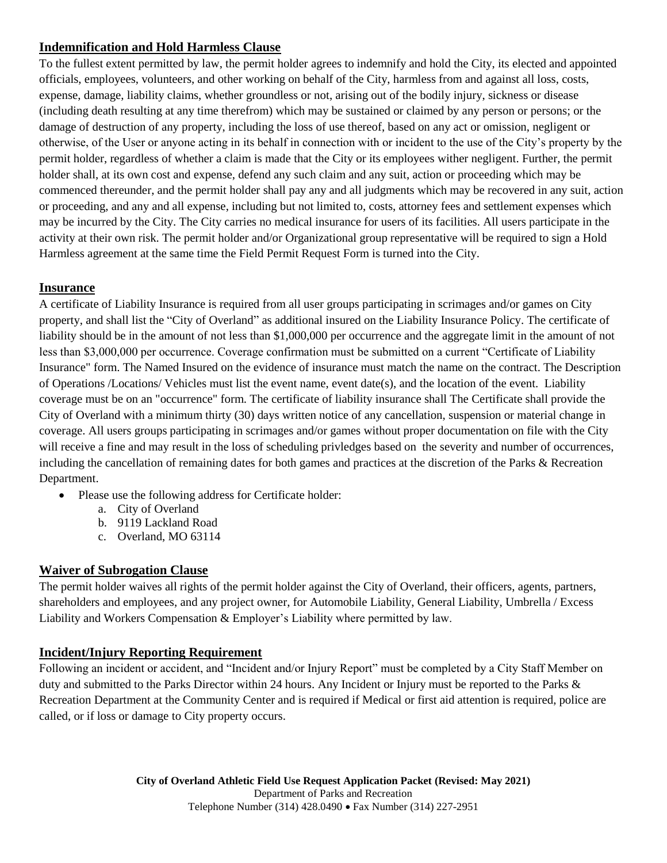#### **Indemnification and Hold Harmless Clause**

To the fullest extent permitted by law, the permit holder agrees to indemnify and hold the City, its elected and appointed officials, employees, volunteers, and other working on behalf of the City, harmless from and against all loss, costs, expense, damage, liability claims, whether groundless or not, arising out of the bodily injury, sickness or disease (including death resulting at any time therefrom) which may be sustained or claimed by any person or persons; or the damage of destruction of any property, including the loss of use thereof, based on any act or omission, negligent or otherwise, of the User or anyone acting in its behalf in connection with or incident to the use of the City's property by the permit holder, regardless of whether a claim is made that the City or its employees wither negligent. Further, the permit holder shall, at its own cost and expense, defend any such claim and any suit, action or proceeding which may be commenced thereunder, and the permit holder shall pay any and all judgments which may be recovered in any suit, action or proceeding, and any and all expense, including but not limited to, costs, attorney fees and settlement expenses which may be incurred by the City. The City carries no medical insurance for users of its facilities. All users participate in the activity at their own risk. The permit holder and/or Organizational group representative will be required to sign a Hold Harmless agreement at the same time the Field Permit Request Form is turned into the City.

#### **Insurance**

A certificate of Liability Insurance is required from all user groups participating in scrimages and/or games on City property, and shall list the "City of Overland" as additional insured on the Liability Insurance Policy. The certificate of liability should be in the amount of not less than \$1,000,000 per occurrence and the aggregate limit in the amount of not less than \$3,000,000 per occurrence. Coverage confirmation must be submitted on a current "Certificate of Liability Insurance" form. The Named Insured on the evidence of insurance must match the name on the contract. The Description of Operations /Locations/ Vehicles must list the event name, event date(s), and the location of the event. Liability coverage must be on an "occurrence" form. The certificate of liability insurance shall The Certificate shall provide the City of Overland with a minimum thirty (30) days written notice of any cancellation, suspension or material change in coverage. All users groups participating in scrimages and/or games without proper documentation on file with the City will receive a fine and may result in the loss of scheduling privledges based on the severity and number of occurrences, including the cancellation of remaining dates for both games and practices at the discretion of the Parks & Recreation Department.

- Please use the following address for Certificate holder:
	- a. City of Overland
	- b. 9119 Lackland Road
	- c. Overland, MO 63114

#### **Waiver of Subrogation Clause**

The permit holder waives all rights of the permit holder against the City of Overland, their officers, agents, partners, shareholders and employees, and any project owner, for Automobile Liability, General Liability, Umbrella / Excess Liability and Workers Compensation & Employer's Liability where permitted by law.

#### **Incident/Injury Reporting Requirement**

Following an incident or accident, and "Incident and/or Injury Report" must be completed by a City Staff Member on duty and submitted to the Parks Director within 24 hours. Any Incident or Injury must be reported to the Parks & Recreation Department at the Community Center and is required if Medical or first aid attention is required, police are called, or if loss or damage to City property occurs.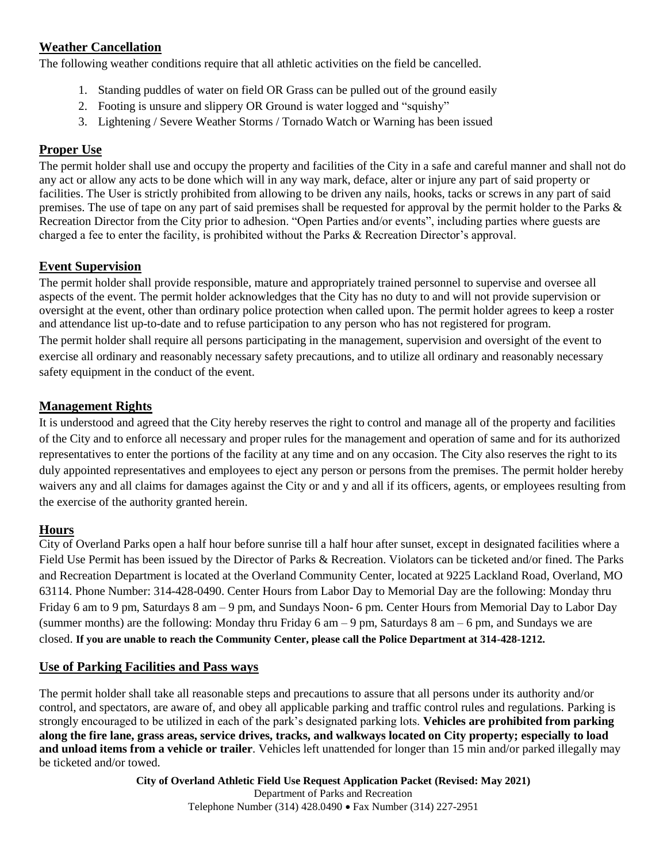### **Weather Cancellation**

The following weather conditions require that all athletic activities on the field be cancelled.

- 1. Standing puddles of water on field OR Grass can be pulled out of the ground easily
- 2. Footing is unsure and slippery OR Ground is water logged and "squishy"
- 3. Lightening / Severe Weather Storms / Tornado Watch or Warning has been issued

## **Proper Use**

The permit holder shall use and occupy the property and facilities of the City in a safe and careful manner and shall not do any act or allow any acts to be done which will in any way mark, deface, alter or injure any part of said property or facilities. The User is strictly prohibited from allowing to be driven any nails, hooks, tacks or screws in any part of said premises. The use of tape on any part of said premises shall be requested for approval by the permit holder to the Parks & Recreation Director from the City prior to adhesion. "Open Parties and/or events", including parties where guests are charged a fee to enter the facility, is prohibited without the Parks & Recreation Director's approval.

## **Event Supervision**

The permit holder shall provide responsible, mature and appropriately trained personnel to supervise and oversee all aspects of the event. The permit holder acknowledges that the City has no duty to and will not provide supervision or oversight at the event, other than ordinary police protection when called upon. The permit holder agrees to keep a roster and attendance list up-to-date and to refuse participation to any person who has not registered for program.

The permit holder shall require all persons participating in the management, supervision and oversight of the event to exercise all ordinary and reasonably necessary safety precautions, and to utilize all ordinary and reasonably necessary safety equipment in the conduct of the event.

#### **Management Rights**

It is understood and agreed that the City hereby reserves the right to control and manage all of the property and facilities of the City and to enforce all necessary and proper rules for the management and operation of same and for its authorized representatives to enter the portions of the facility at any time and on any occasion. The City also reserves the right to its duly appointed representatives and employees to eject any person or persons from the premises. The permit holder hereby waivers any and all claims for damages against the City or and y and all if its officers, agents, or employees resulting from the exercise of the authority granted herein.

#### **Hours**

City of Overland Parks open a half hour before sunrise till a half hour after sunset, except in designated facilities where a Field Use Permit has been issued by the Director of Parks & Recreation. Violators can be ticketed and/or fined. The Parks and Recreation Department is located at the Overland Community Center, located at 9225 Lackland Road, Overland, MO 63114. Phone Number: 314-428-0490. Center Hours from Labor Day to Memorial Day are the following: Monday thru Friday 6 am to 9 pm, Saturdays 8 am – 9 pm, and Sundays Noon- 6 pm. Center Hours from Memorial Day to Labor Day (summer months) are the following: Monday thru Friday 6 am – 9 pm, Saturdays 8 am – 6 pm, and Sundays we are closed. **If you are unable to reach the Community Center, please call the Police Department at 314-428-1212.** 

#### **Use of Parking Facilities and Pass ways**

The permit holder shall take all reasonable steps and precautions to assure that all persons under its authority and/or control, and spectators, are aware of, and obey all applicable parking and traffic control rules and regulations. Parking is strongly encouraged to be utilized in each of the park's designated parking lots. **Vehicles are prohibited from parking along the fire lane, grass areas, service drives, tracks, and walkways located on City property; especially to load and unload items from a vehicle or trailer**. Vehicles left unattended for longer than 15 min and/or parked illegally may be ticketed and/or towed.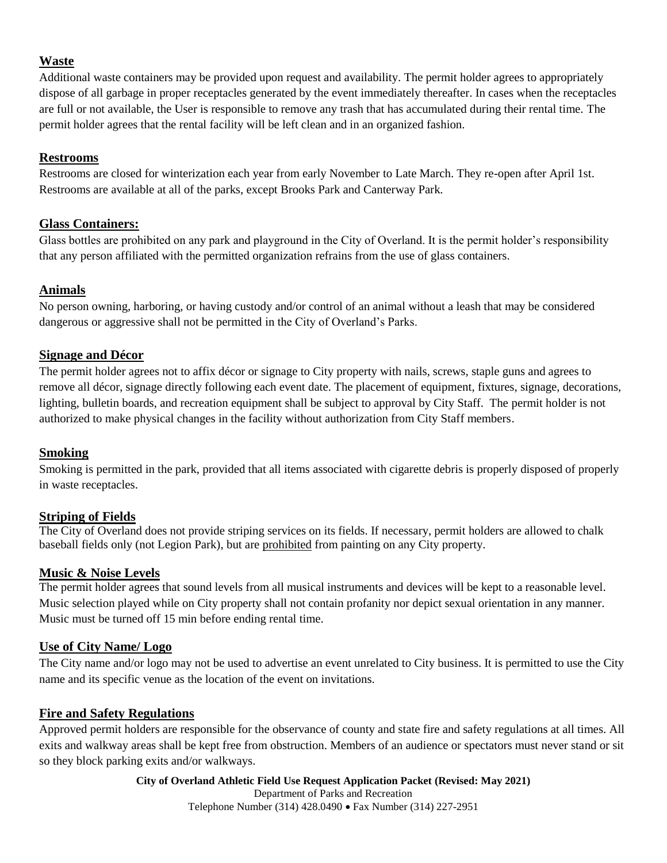#### **Waste**

Additional waste containers may be provided upon request and availability. The permit holder agrees to appropriately dispose of all garbage in proper receptacles generated by the event immediately thereafter. In cases when the receptacles are full or not available, the User is responsible to remove any trash that has accumulated during their rental time. The permit holder agrees that the rental facility will be left clean and in an organized fashion.

#### **Restrooms**

Restrooms are closed for winterization each year from early November to Late March. They re-open after April 1st. Restrooms are available at all of the parks, except Brooks Park and Canterway Park.

#### **Glass Containers:**

Glass bottles are prohibited on any park and playground in the City of Overland. It is the permit holder's responsibility that any person affiliated with the permitted organization refrains from the use of glass containers.

#### **Animals**

No person owning, harboring, or having custody and/or control of an animal without a leash that may be considered dangerous or aggressive shall not be permitted in the City of Overland's Parks.

#### **Signage and Décor**

The permit holder agrees not to affix décor or signage to City property with nails, screws, staple guns and agrees to remove all décor, signage directly following each event date. The placement of equipment, fixtures, signage, decorations, lighting, bulletin boards, and recreation equipment shall be subject to approval by City Staff. The permit holder is not authorized to make physical changes in the facility without authorization from City Staff members.

#### **Smoking**

Smoking is permitted in the park, provided that all items associated with cigarette debris is properly disposed of properly in waste receptacles.

#### **Striping of Fields**

The City of Overland does not provide striping services on its fields. If necessary, permit holders are allowed to chalk baseball fields only (not Legion Park), but are prohibited from painting on any City property.

#### **Music & Noise Levels**

The permit holder agrees that sound levels from all musical instruments and devices will be kept to a reasonable level. Music selection played while on City property shall not contain profanity nor depict sexual orientation in any manner. Music must be turned off 15 min before ending rental time.

#### **Use of City Name/ Logo**

The City name and/or logo may not be used to advertise an event unrelated to City business. It is permitted to use the City name and its specific venue as the location of the event on invitations.

#### **Fire and Safety Regulations**

Approved permit holders are responsible for the observance of county and state fire and safety regulations at all times. All exits and walkway areas shall be kept free from obstruction. Members of an audience or spectators must never stand or sit so they block parking exits and/or walkways.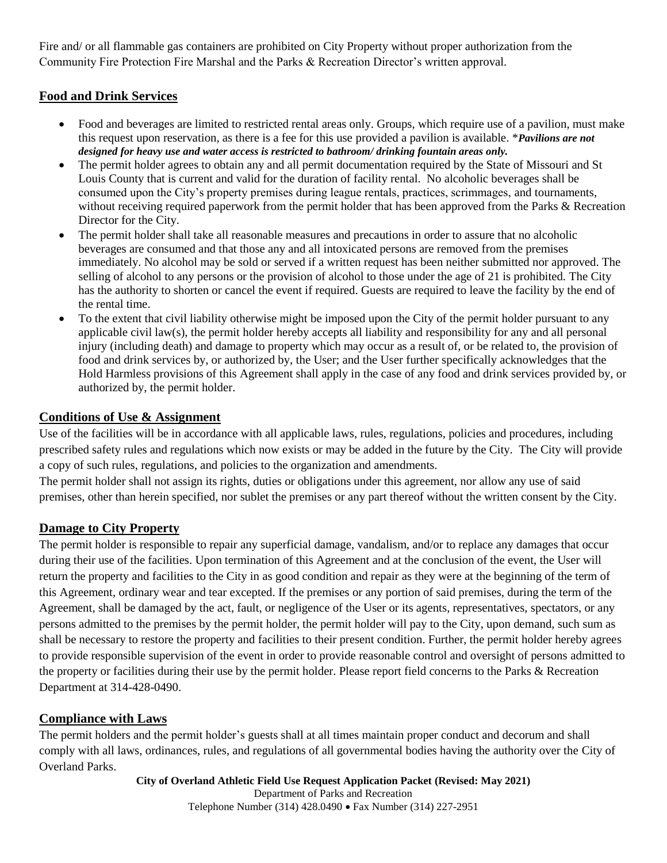Fire and/ or all flammable gas containers are prohibited on City Property without proper authorization from the Community Fire Protection Fire Marshal and the Parks & Recreation Director's written approval.

## **Food and Drink Services**

- Food and beverages are limited to restricted rental areas only. Groups, which require use of a pavilion, must make this request upon reservation, as there is a fee for this use provided a pavilion is available. \**Pavilions are not designed for heavy use and water access is restricted to bathroom/ drinking fountain areas only.*
- The permit holder agrees to obtain any and all permit documentation required by the State of Missouri and St Louis County that is current and valid for the duration of facility rental. No alcoholic beverages shall be consumed upon the City's property premises during league rentals, practices, scrimmages, and tournaments, without receiving required paperwork from the permit holder that has been approved from the Parks & Recreation Director for the City.
- The permit holder shall take all reasonable measures and precautions in order to assure that no alcoholic beverages are consumed and that those any and all intoxicated persons are removed from the premises immediately. No alcohol may be sold or served if a written request has been neither submitted nor approved. The selling of alcohol to any persons or the provision of alcohol to those under the age of 21 is prohibited. The City has the authority to shorten or cancel the event if required. Guests are required to leave the facility by the end of the rental time.
- To the extent that civil liability otherwise might be imposed upon the City of the permit holder pursuant to any applicable civil law(s), the permit holder hereby accepts all liability and responsibility for any and all personal injury (including death) and damage to property which may occur as a result of, or be related to, the provision of food and drink services by, or authorized by, the User; and the User further specifically acknowledges that the Hold Harmless provisions of this Agreement shall apply in the case of any food and drink services provided by, or authorized by, the permit holder.

#### **Conditions of Use & Assignment**

Use of the facilities will be in accordance with all applicable laws, rules, regulations, policies and procedures, including prescribed safety rules and regulations which now exists or may be added in the future by the City. The City will provide a copy of such rules, regulations, and policies to the organization and amendments.

The permit holder shall not assign its rights, duties or obligations under this agreement, nor allow any use of said premises, other than herein specified, nor sublet the premises or any part thereof without the written consent by the City.

#### **Damage to City Property**

The permit holder is responsible to repair any superficial damage, vandalism, and/or to replace any damages that occur during their use of the facilities. Upon termination of this Agreement and at the conclusion of the event, the User will return the property and facilities to the City in as good condition and repair as they were at the beginning of the term of this Agreement, ordinary wear and tear excepted. If the premises or any portion of said premises, during the term of the Agreement, shall be damaged by the act, fault, or negligence of the User or its agents, representatives, spectators, or any persons admitted to the premises by the permit holder, the permit holder will pay to the City, upon demand, such sum as shall be necessary to restore the property and facilities to their present condition. Further, the permit holder hereby agrees to provide responsible supervision of the event in order to provide reasonable control and oversight of persons admitted to the property or facilities during their use by the permit holder. Please report field concerns to the Parks & Recreation Department at 314-428-0490.

#### **Compliance with Laws**

The permit holders and the permit holder's guests shall at all times maintain proper conduct and decorum and shall comply with all laws, ordinances, rules, and regulations of all governmental bodies having the authority over the City of Overland Parks.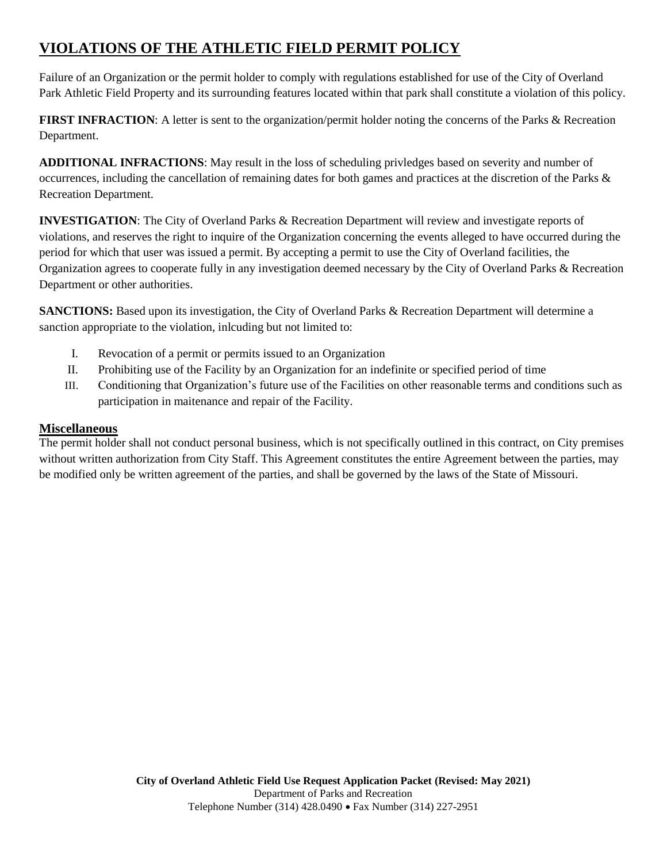# **VIOLATIONS OF THE ATHLETIC FIELD PERMIT POLICY**

Failure of an Organization or the permit holder to comply with regulations established for use of the City of Overland Park Athletic Field Property and its surrounding features located within that park shall constitute a violation of this policy.

**FIRST INFRACTION:** A letter is sent to the organization/permit holder noting the concerns of the Parks & Recreation Department.

**ADDITIONAL INFRACTIONS**: May result in the loss of scheduling privledges based on severity and number of occurrences, including the cancellation of remaining dates for both games and practices at the discretion of the Parks & Recreation Department.

**INVESTIGATION**: The City of Overland Parks & Recreation Department will review and investigate reports of violations, and reserves the right to inquire of the Organization concerning the events alleged to have occurred during the period for which that user was issued a permit. By accepting a permit to use the City of Overland facilities, the Organization agrees to cooperate fully in any investigation deemed necessary by the City of Overland Parks & Recreation Department or other authorities.

**SANCTIONS:** Based upon its investigation, the City of Overland Parks & Recreation Department will determine a sanction appropriate to the violation, inlcuding but not limited to:

- I. Revocation of a permit or permits issued to an Organization
- II. Prohibiting use of the Facility by an Organization for an indefinite or specified period of time
- III. Conditioning that Organization's future use of the Facilities on other reasonable terms and conditions such as participation in maitenance and repair of the Facility.

#### **Miscellaneous**

The permit holder shall not conduct personal business, which is not specifically outlined in this contract, on City premises without written authorization from City Staff. This Agreement constitutes the entire Agreement between the parties, may be modified only be written agreement of the parties, and shall be governed by the laws of the State of Missouri.